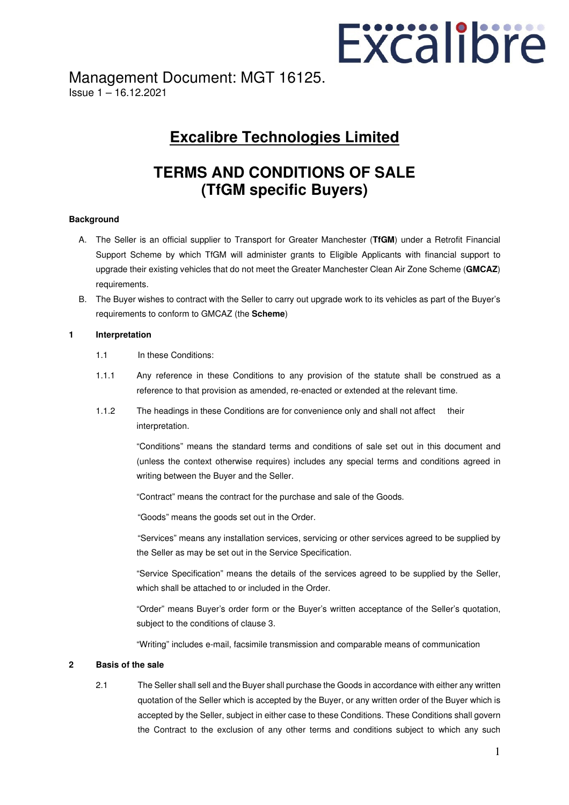

Management Document: MGT 16125. Issue 1 – 16.12.2021

# **Excalibre Technologies Limited**

# **TERMS AND CONDITIONS OF SALE (TfGM specific Buyers)**

# **Background**

- A. The Seller is an official supplier to Transport for Greater Manchester (**TfGM**) under a Retrofit Financial Support Scheme by which TfGM will administer grants to Eligible Applicants with financial support to upgrade their existing vehicles that do not meet the Greater Manchester Clean Air Zone Scheme (**GMCAZ**) requirements.
- B. The Buyer wishes to contract with the Seller to carry out upgrade work to its vehicles as part of the Buyer's requirements to conform to GMCAZ (the **Scheme**)

#### **1 Interpretation**

- 1.1 In these Conditions:
- 1.1.1 Any reference in these Conditions to any provision of the statute shall be construed as a reference to that provision as amended, re-enacted or extended at the relevant time.
- 1.1.2 The headings in these Conditions are for convenience only and shall not affect their interpretation.

 "Conditions" means the standard terms and conditions of sale set out in this document and (unless the context otherwise requires) includes any special terms and conditions agreed in writing between the Buyer and the Seller.

"Contract" means the contract for the purchase and sale of the Goods.

"Goods" means the goods set out in the Order.

 "Services" means any installation services, servicing or other services agreed to be supplied by the Seller as may be set out in the Service Specification.

 "Service Specification" means the details of the services agreed to be supplied by the Seller, which shall be attached to or included in the Order.

 "Order" means Buyer's order form or the Buyer's written acceptance of the Seller's quotation, subject to the conditions of clause 3.

"Writing" includes e-mail, facsimile transmission and comparable means of communication

# **2 Basis of the sale**

 2.1 The Seller shall sell and the Buyer shall purchase the Goods in accordance with either any written quotation of the Seller which is accepted by the Buyer, or any written order of the Buyer which is accepted by the Seller, subject in either case to these Conditions. These Conditions shall govern the Contract to the exclusion of any other terms and conditions subject to which any such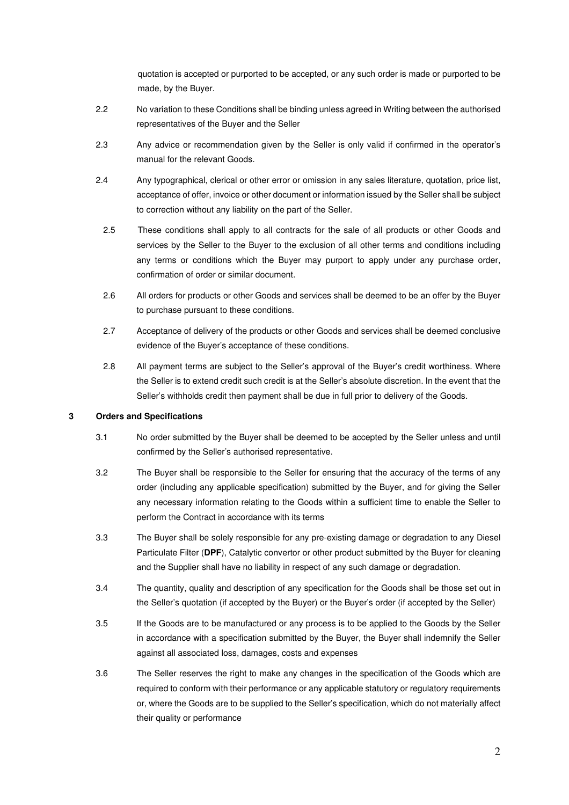quotation is accepted or purported to be accepted, or any such order is made or purported to be made, by the Buyer.

- 2.2 No variation to these Conditions shall be binding unless agreed in Writing between the authorised representatives of the Buyer and the Seller
- 2.3 Any advice or recommendation given by the Seller is only valid if confirmed in the operator's manual for the relevant Goods.
- 2.4 Any typographical, clerical or other error or omission in any sales literature, quotation, price list, acceptance of offer, invoice or other document or information issued by the Seller shall be subject to correction without any liability on the part of the Seller.
	- 2.5 These conditions shall apply to all contracts for the sale of all products or other Goods and services by the Seller to the Buyer to the exclusion of all other terms and conditions including any terms or conditions which the Buyer may purport to apply under any purchase order, confirmation of order or similar document.
	- 2.6 All orders for products or other Goods and services shall be deemed to be an offer by the Buyer to purchase pursuant to these conditions.
	- 2.7 Acceptance of delivery of the products or other Goods and services shall be deemed conclusive evidence of the Buyer's acceptance of these conditions.
	- 2.8 All payment terms are subject to the Seller's approval of the Buyer's credit worthiness. Where the Seller is to extend credit such credit is at the Seller's absolute discretion. In the event that the Seller's withholds credit then payment shall be due in full prior to delivery of the Goods.

# **3 Orders and Specifications**

- 3.1 No order submitted by the Buyer shall be deemed to be accepted by the Seller unless and until confirmed by the Seller's authorised representative.
- 3.2 The Buyer shall be responsible to the Seller for ensuring that the accuracy of the terms of any order (including any applicable specification) submitted by the Buyer, and for giving the Seller any necessary information relating to the Goods within a sufficient time to enable the Seller to perform the Contract in accordance with its terms
- 3.3 The Buyer shall be solely responsible for any pre-existing damage or degradation to any Diesel Particulate Filter (**DPF**), Catalytic convertor or other product submitted by the Buyer for cleaning and the Supplier shall have no liability in respect of any such damage or degradation.
- 3.4 The quantity, quality and description of any specification for the Goods shall be those set out in the Seller's quotation (if accepted by the Buyer) or the Buyer's order (if accepted by the Seller)
- 3.5 If the Goods are to be manufactured or any process is to be applied to the Goods by the Seller in accordance with a specification submitted by the Buyer, the Buyer shall indemnify the Seller against all associated loss, damages, costs and expenses
- 3.6 The Seller reserves the right to make any changes in the specification of the Goods which are required to conform with their performance or any applicable statutory or regulatory requirements or, where the Goods are to be supplied to the Seller's specification, which do not materially affect their quality or performance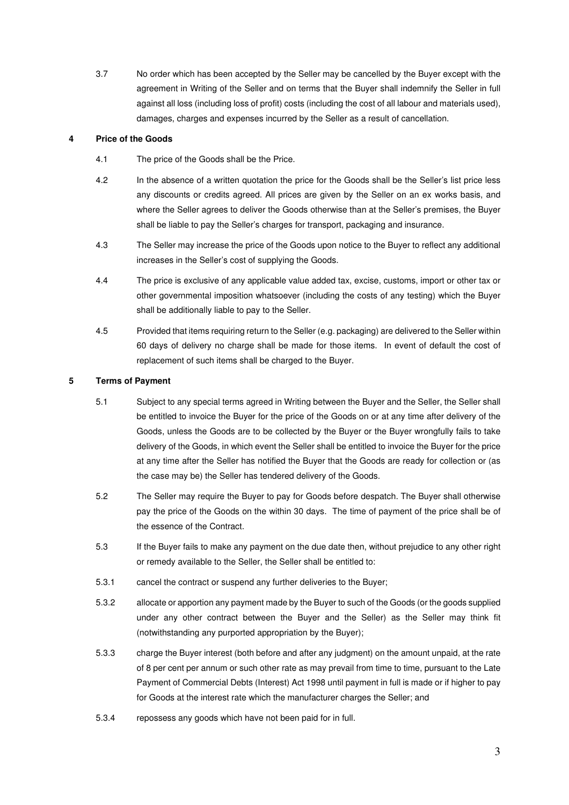3.7 No order which has been accepted by the Seller may be cancelled by the Buyer except with the agreement in Writing of the Seller and on terms that the Buyer shall indemnify the Seller in full against all loss (including loss of profit) costs (including the cost of all labour and materials used), damages, charges and expenses incurred by the Seller as a result of cancellation.

# **4 Price of the Goods**

- 4.1 The price of the Goods shall be the Price.
- 4.2 In the absence of a written quotation the price for the Goods shall be the Seller's list price less any discounts or credits agreed. All prices are given by the Seller on an ex works basis, and where the Seller agrees to deliver the Goods otherwise than at the Seller's premises, the Buyer shall be liable to pay the Seller's charges for transport, packaging and insurance.
- 4.3 The Seller may increase the price of the Goods upon notice to the Buyer to reflect any additional increases in the Seller's cost of supplying the Goods.
- 4.4 The price is exclusive of any applicable value added tax, excise, customs, import or other tax or other governmental imposition whatsoever (including the costs of any testing) which the Buyer shall be additionally liable to pay to the Seller.
- 4.5 Provided that items requiring return to the Seller (e.g. packaging) are delivered to the Seller within 60 days of delivery no charge shall be made for those items. In event of default the cost of replacement of such items shall be charged to the Buyer.

# **5 Terms of Payment**

- 5.1 Subject to any special terms agreed in Writing between the Buyer and the Seller, the Seller shall be entitled to invoice the Buyer for the price of the Goods on or at any time after delivery of the Goods, unless the Goods are to be collected by the Buyer or the Buyer wrongfully fails to take delivery of the Goods, in which event the Seller shall be entitled to invoice the Buyer for the price at any time after the Seller has notified the Buyer that the Goods are ready for collection or (as the case may be) the Seller has tendered delivery of the Goods.
- 5.2 The Seller may require the Buyer to pay for Goods before despatch. The Buyer shall otherwise pay the price of the Goods on the within 30 days. The time of payment of the price shall be of the essence of the Contract.
- 5.3 If the Buyer fails to make any payment on the due date then, without prejudice to any other right or remedy available to the Seller, the Seller shall be entitled to:
- 5.3.1 cancel the contract or suspend any further deliveries to the Buyer;
- 5.3.2 allocate or apportion any payment made by the Buyer to such of the Goods (or the goods supplied under any other contract between the Buyer and the Seller) as the Seller may think fit (notwithstanding any purported appropriation by the Buyer);
- 5.3.3 charge the Buyer interest (both before and after any judgment) on the amount unpaid, at the rate of 8 per cent per annum or such other rate as may prevail from time to time, pursuant to the Late Payment of Commercial Debts (Interest) Act 1998 until payment in full is made or if higher to pay for Goods at the interest rate which the manufacturer charges the Seller; and
- 5.3.4 repossess any goods which have not been paid for in full.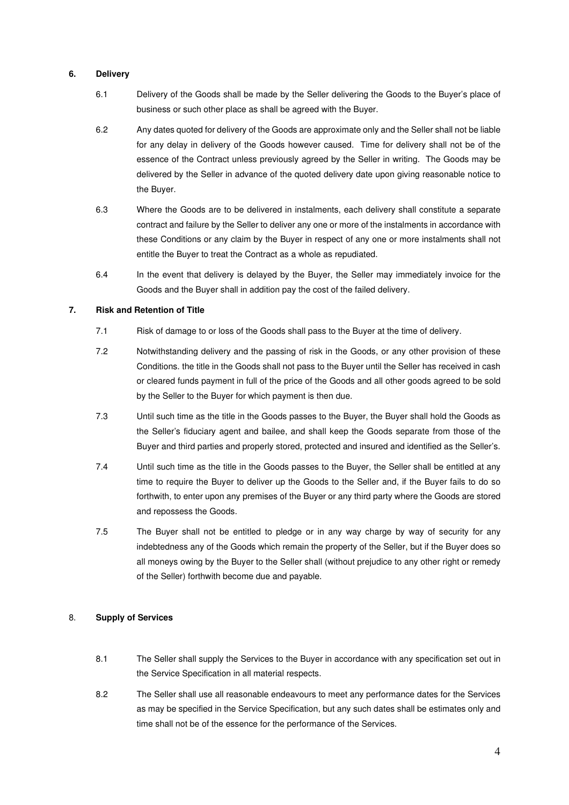# **6. Delivery**

- 6.1 Delivery of the Goods shall be made by the Seller delivering the Goods to the Buyer's place of business or such other place as shall be agreed with the Buyer.
- 6.2 Any dates quoted for delivery of the Goods are approximate only and the Seller shall not be liable for any delay in delivery of the Goods however caused. Time for delivery shall not be of the essence of the Contract unless previously agreed by the Seller in writing. The Goods may be delivered by the Seller in advance of the quoted delivery date upon giving reasonable notice to the Buyer.
- 6.3 Where the Goods are to be delivered in instalments, each delivery shall constitute a separate contract and failure by the Seller to deliver any one or more of the instalments in accordance with these Conditions or any claim by the Buyer in respect of any one or more instalments shall not entitle the Buyer to treat the Contract as a whole as repudiated.
- 6.4 In the event that delivery is delayed by the Buyer, the Seller may immediately invoice for the Goods and the Buyer shall in addition pay the cost of the failed delivery.

# **7. Risk and Retention of Title**

- 7.1 Risk of damage to or loss of the Goods shall pass to the Buyer at the time of delivery.
- 7.2 Notwithstanding delivery and the passing of risk in the Goods, or any other provision of these Conditions. the title in the Goods shall not pass to the Buyer until the Seller has received in cash or cleared funds payment in full of the price of the Goods and all other goods agreed to be sold by the Seller to the Buyer for which payment is then due.
- 7.3 Until such time as the title in the Goods passes to the Buyer, the Buyer shall hold the Goods as the Seller's fiduciary agent and bailee, and shall keep the Goods separate from those of the Buyer and third parties and properly stored, protected and insured and identified as the Seller's.
- 7.4 Until such time as the title in the Goods passes to the Buyer, the Seller shall be entitled at any time to require the Buyer to deliver up the Goods to the Seller and, if the Buyer fails to do so forthwith, to enter upon any premises of the Buyer or any third party where the Goods are stored and repossess the Goods.
- 7.5 The Buyer shall not be entitled to pledge or in any way charge by way of security for any indebtedness any of the Goods which remain the property of the Seller, but if the Buyer does so all moneys owing by the Buyer to the Seller shall (without prejudice to any other right or remedy of the Seller) forthwith become due and payable.

# 8. **Supply of Services**

- 8.1 The Seller shall supply the Services to the Buyer in accordance with any specification set out in the Service Specification in all material respects.
- 8.2 The Seller shall use all reasonable endeavours to meet any performance dates for the Services as may be specified in the Service Specification, but any such dates shall be estimates only and time shall not be of the essence for the performance of the Services.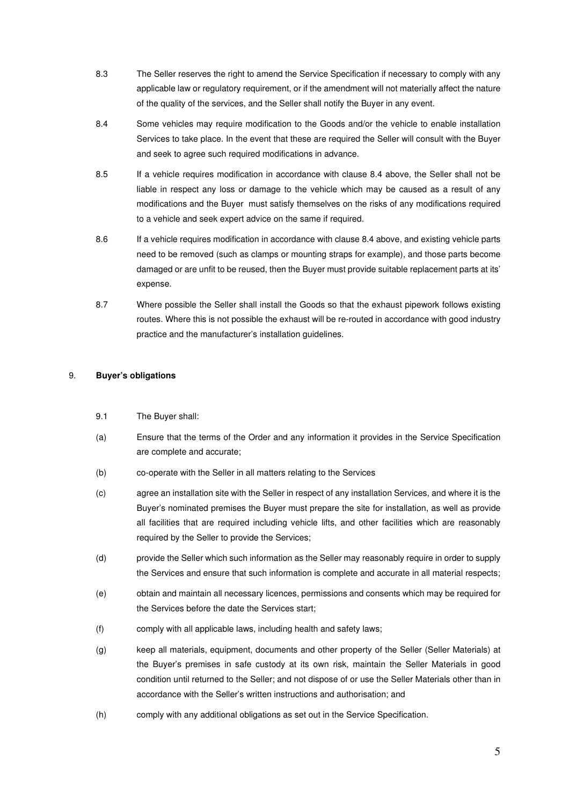- 8.3 The Seller reserves the right to amend the Service Specification if necessary to comply with any applicable law or regulatory requirement, or if the amendment will not materially affect the nature of the quality of the services, and the Seller shall notify the Buyer in any event.
- 8.4 Some vehicles may require modification to the Goods and/or the vehicle to enable installation Services to take place. In the event that these are required the Seller will consult with the Buyer and seek to agree such required modifications in advance.
- 8.5 If a vehicle requires modification in accordance with clause 8.4 above, the Seller shall not be liable in respect any loss or damage to the vehicle which may be caused as a result of any modifications and the Buyer must satisfy themselves on the risks of any modifications required to a vehicle and seek expert advice on the same if required.
- 8.6 If a vehicle requires modification in accordance with clause 8.4 above, and existing vehicle parts need to be removed (such as clamps or mounting straps for example), and those parts become damaged or are unfit to be reused, then the Buyer must provide suitable replacement parts at its' expense.
- 8.7 Where possible the Seller shall install the Goods so that the exhaust pipework follows existing routes. Where this is not possible the exhaust will be re-routed in accordance with good industry practice and the manufacturer's installation guidelines.

# 9. **Buyer's obligations**

- 9.1 The Buyer shall:
- (a) Ensure that the terms of the Order and any information it provides in the Service Specification are complete and accurate;
- (b) co-operate with the Seller in all matters relating to the Services
- (c) agree an installation site with the Seller in respect of any installation Services, and where it is the Buyer's nominated premises the Buyer must prepare the site for installation, as well as provide all facilities that are required including vehicle lifts, and other facilities which are reasonably required by the Seller to provide the Services;
- (d) provide the Seller which such information as the Seller may reasonably require in order to supply the Services and ensure that such information is complete and accurate in all material respects;
- (e) obtain and maintain all necessary licences, permissions and consents which may be required for the Services before the date the Services start;
- (f) comply with all applicable laws, including health and safety laws;
- (g) keep all materials, equipment, documents and other property of the Seller (Seller Materials) at the Buyer's premises in safe custody at its own risk, maintain the Seller Materials in good condition until returned to the Seller; and not dispose of or use the Seller Materials other than in accordance with the Seller's written instructions and authorisation; and
- (h) comply with any additional obligations as set out in the Service Specification.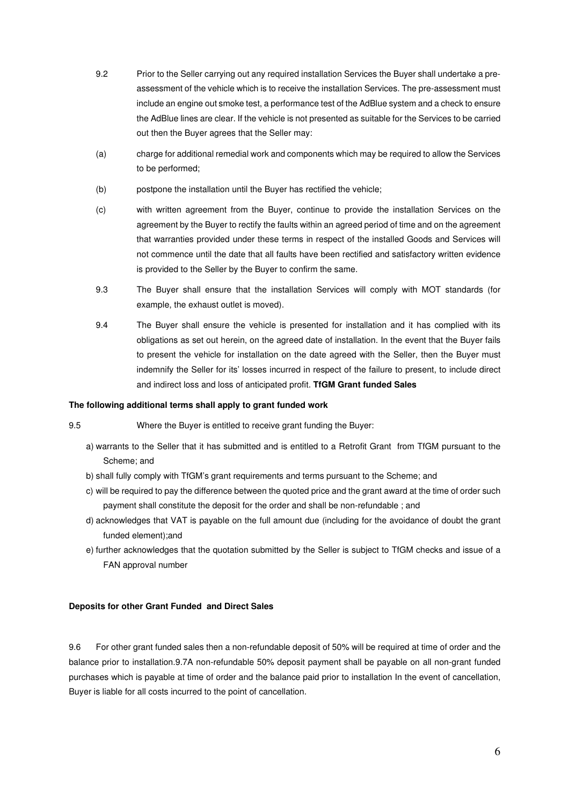- 9.2 Prior to the Seller carrying out any required installation Services the Buyer shall undertake a preassessment of the vehicle which is to receive the installation Services. The pre-assessment must include an engine out smoke test, a performance test of the AdBlue system and a check to ensure the AdBlue lines are clear. If the vehicle is not presented as suitable for the Services to be carried out then the Buyer agrees that the Seller may:
- (a) charge for additional remedial work and components which may be required to allow the Services to be performed;
- (b) postpone the installation until the Buyer has rectified the vehicle;
- (c) with written agreement from the Buyer, continue to provide the installation Services on the agreement by the Buyer to rectify the faults within an agreed period of time and on the agreement that warranties provided under these terms in respect of the installed Goods and Services will not commence until the date that all faults have been rectified and satisfactory written evidence is provided to the Seller by the Buyer to confirm the same.
- 9.3 The Buyer shall ensure that the installation Services will comply with MOT standards (for example, the exhaust outlet is moved).
- 9.4 The Buyer shall ensure the vehicle is presented for installation and it has complied with its obligations as set out herein, on the agreed date of installation. In the event that the Buyer fails to present the vehicle for installation on the date agreed with the Seller, then the Buyer must indemnify the Seller for its' losses incurred in respect of the failure to present, to include direct and indirect loss and loss of anticipated profit. **TfGM Grant funded Sales**

#### **The following additional terms shall apply to grant funded work**

9.5 Where the Buyer is entitled to receive grant funding the Buyer:

- a) warrants to the Seller that it has submitted and is entitled to a Retrofit Grant from TfGM pursuant to the Scheme; and
- b) shall fully comply with TfGM's grant requirements and terms pursuant to the Scheme; and
- c) will be required to pay the difference between the quoted price and the grant award at the time of order such payment shall constitute the deposit for the order and shall be non-refundable ; and
- d) acknowledges that VAT is payable on the full amount due (including for the avoidance of doubt the grant funded element);and
- e) further acknowledges that the quotation submitted by the Seller is subject to TfGM checks and issue of a FAN approval number

#### **Deposits for other Grant Funded and Direct Sales**

9.6 For other grant funded sales then a non-refundable deposit of 50% will be required at time of order and the balance prior to installation.9.7A non-refundable 50% deposit payment shall be payable on all non-grant funded purchases which is payable at time of order and the balance paid prior to installation In the event of cancellation, Buyer is liable for all costs incurred to the point of cancellation.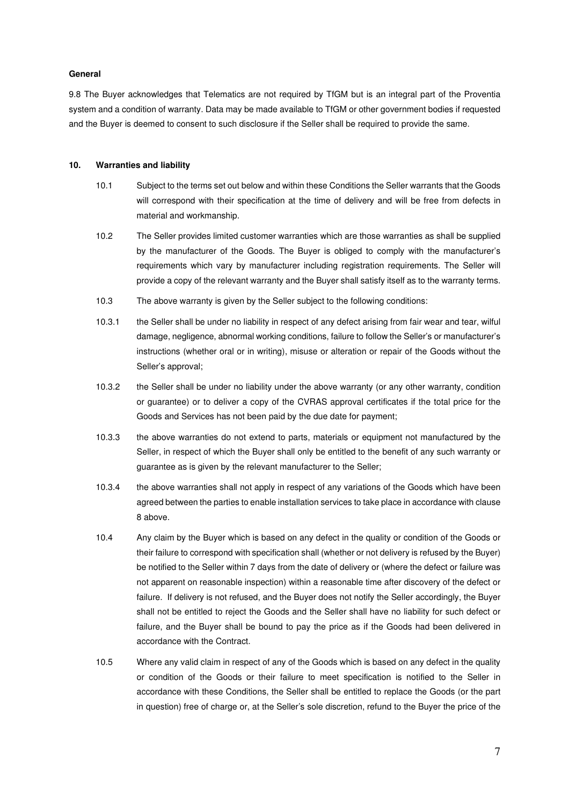## **General**

9.8 The Buyer acknowledges that Telematics are not required by TfGM but is an integral part of the Proventia system and a condition of warranty. Data may be made available to TfGM or other government bodies if requested and the Buyer is deemed to consent to such disclosure if the Seller shall be required to provide the same.

#### **10. Warranties and liability**

- 10.1 Subject to the terms set out below and within these Conditions the Seller warrants that the Goods will correspond with their specification at the time of delivery and will be free from defects in material and workmanship.
- 10.2 The Seller provides limited customer warranties which are those warranties as shall be supplied by the manufacturer of the Goods. The Buyer is obliged to comply with the manufacturer's requirements which vary by manufacturer including registration requirements. The Seller will provide a copy of the relevant warranty and the Buyer shall satisfy itself as to the warranty terms.
- 10.3 The above warranty is given by the Seller subject to the following conditions:
- 10.3.1 the Seller shall be under no liability in respect of any defect arising from fair wear and tear, wilful damage, negligence, abnormal working conditions, failure to follow the Seller's or manufacturer's instructions (whether oral or in writing), misuse or alteration or repair of the Goods without the Seller's approval;
- 10.3.2 the Seller shall be under no liability under the above warranty (or any other warranty, condition or guarantee) or to deliver a copy of the CVRAS approval certificates if the total price for the Goods and Services has not been paid by the due date for payment;
- 10.3.3 the above warranties do not extend to parts, materials or equipment not manufactured by the Seller, in respect of which the Buyer shall only be entitled to the benefit of any such warranty or guarantee as is given by the relevant manufacturer to the Seller;
- 10.3.4 the above warranties shall not apply in respect of any variations of the Goods which have been agreed between the parties to enable installation services to take place in accordance with clause 8 above.
- 10.4 Any claim by the Buyer which is based on any defect in the quality or condition of the Goods or their failure to correspond with specification shall (whether or not delivery is refused by the Buyer) be notified to the Seller within 7 days from the date of delivery or (where the defect or failure was not apparent on reasonable inspection) within a reasonable time after discovery of the defect or failure. If delivery is not refused, and the Buyer does not notify the Seller accordingly, the Buyer shall not be entitled to reject the Goods and the Seller shall have no liability for such defect or failure, and the Buyer shall be bound to pay the price as if the Goods had been delivered in accordance with the Contract.
- 10.5 Where any valid claim in respect of any of the Goods which is based on any defect in the quality or condition of the Goods or their failure to meet specification is notified to the Seller in accordance with these Conditions, the Seller shall be entitled to replace the Goods (or the part in question) free of charge or, at the Seller's sole discretion, refund to the Buyer the price of the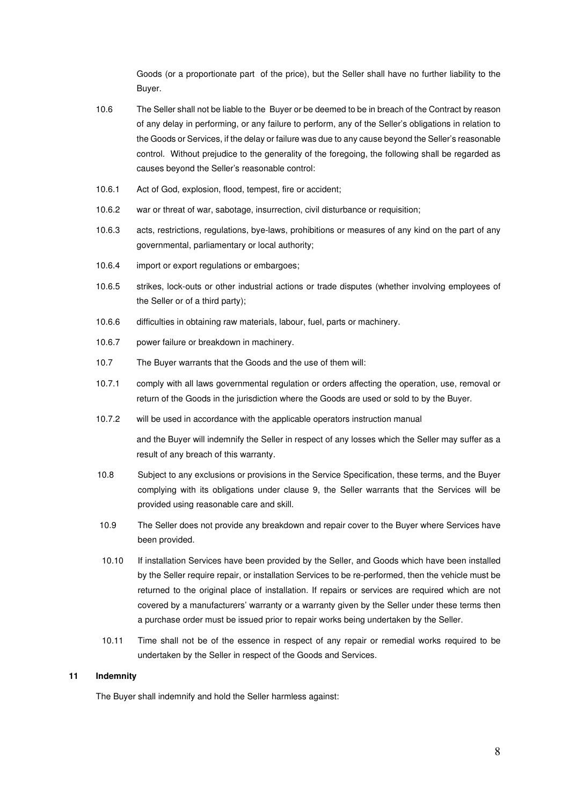Goods (or a proportionate part of the price), but the Seller shall have no further liability to the Buyer.

- 10.6 The Seller shall not be liable to the Buyer or be deemed to be in breach of the Contract by reason of any delay in performing, or any failure to perform, any of the Seller's obligations in relation to the Goods or Services, if the delay or failure was due to any cause beyond the Seller's reasonable control. Without prejudice to the generality of the foregoing, the following shall be regarded as causes beyond the Seller's reasonable control:
- 10.6.1 Act of God, explosion, flood, tempest, fire or accident;
- 10.6.2 war or threat of war, sabotage, insurrection, civil disturbance or requisition;
- 10.6.3 acts, restrictions, regulations, bye-laws, prohibitions or measures of any kind on the part of any governmental, parliamentary or local authority;
- 10.6.4 import or export regulations or embargoes;
- 10.6.5 strikes, lock-outs or other industrial actions or trade disputes (whether involving employees of the Seller or of a third party);
- 10.6.6 difficulties in obtaining raw materials, labour, fuel, parts or machinery.
- 10.6.7 power failure or breakdown in machinery.
- 10.7 The Buyer warrants that the Goods and the use of them will:
- 10.7.1 comply with all laws governmental regulation or orders affecting the operation, use, removal or return of the Goods in the jurisdiction where the Goods are used or sold to by the Buyer.
- 10.7.2 will be used in accordance with the applicable operators instruction manual

and the Buyer will indemnify the Seller in respect of any losses which the Seller may suffer as a result of any breach of this warranty.

- 10.8 Subject to any exclusions or provisions in the Service Specification, these terms, and the Buyer complying with its obligations under clause 9, the Seller warrants that the Services will be provided using reasonable care and skill.
- 10.9 The Seller does not provide any breakdown and repair cover to the Buyer where Services have been provided.
- 10.10 If installation Services have been provided by the Seller, and Goods which have been installed by the Seller require repair, or installation Services to be re-performed, then the vehicle must be returned to the original place of installation. If repairs or services are required which are not covered by a manufacturers' warranty or a warranty given by the Seller under these terms then a purchase order must be issued prior to repair works being undertaken by the Seller.
- 10.11 Time shall not be of the essence in respect of any repair or remedial works required to be undertaken by the Seller in respect of the Goods and Services.

# **11 Indemnity**

The Buyer shall indemnify and hold the Seller harmless against: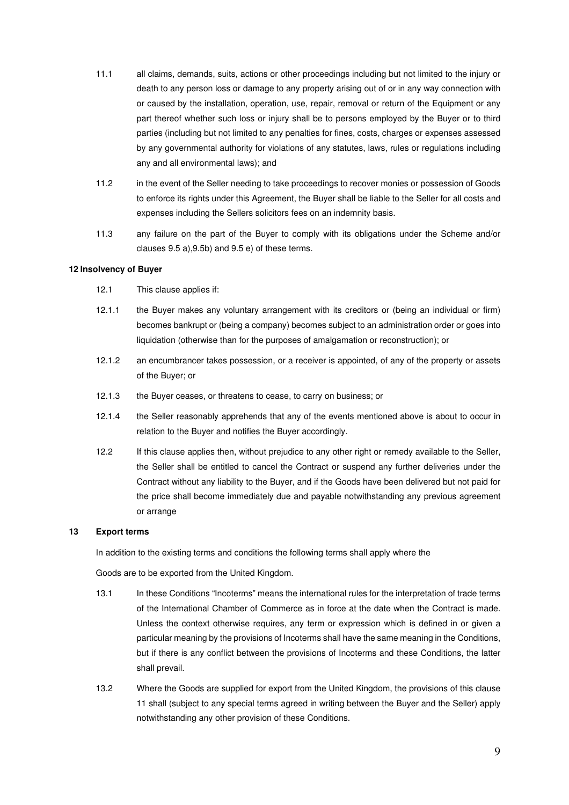- 11.1 all claims, demands, suits, actions or other proceedings including but not limited to the injury or death to any person loss or damage to any property arising out of or in any way connection with or caused by the installation, operation, use, repair, removal or return of the Equipment or any part thereof whether such loss or injury shall be to persons employed by the Buyer or to third parties (including but not limited to any penalties for fines, costs, charges or expenses assessed by any governmental authority for violations of any statutes, laws, rules or regulations including any and all environmental laws); and
- 11.2 in the event of the Seller needing to take proceedings to recover monies or possession of Goods to enforce its rights under this Agreement, the Buyer shall be liable to the Seller for all costs and expenses including the Sellers solicitors fees on an indemnity basis.
- 11.3 any failure on the part of the Buyer to comply with its obligations under the Scheme and/or clauses 9.5 a),9.5b) and 9.5 e) of these terms.

## **12 Insolvency of Buyer**

- 12.1 This clause applies if:
- 12.1.1 the Buyer makes any voluntary arrangement with its creditors or (being an individual or firm) becomes bankrupt or (being a company) becomes subject to an administration order or goes into liquidation (otherwise than for the purposes of amalgamation or reconstruction); or
- 12.1.2 an encumbrancer takes possession, or a receiver is appointed, of any of the property or assets of the Buyer; or
- 12.1.3 the Buyer ceases, or threatens to cease, to carry on business; or
- 12.1.4 the Seller reasonably apprehends that any of the events mentioned above is about to occur in relation to the Buyer and notifies the Buyer accordingly.
- 12.2 If this clause applies then, without prejudice to any other right or remedy available to the Seller, the Seller shall be entitled to cancel the Contract or suspend any further deliveries under the Contract without any liability to the Buyer, and if the Goods have been delivered but not paid for the price shall become immediately due and payable notwithstanding any previous agreement or arrange

#### **13 Export terms**

In addition to the existing terms and conditions the following terms shall apply where the

Goods are to be exported from the United Kingdom.

- 13.1 In these Conditions "Incoterms" means the international rules for the interpretation of trade terms of the International Chamber of Commerce as in force at the date when the Contract is made. Unless the context otherwise requires, any term or expression which is defined in or given a particular meaning by the provisions of Incoterms shall have the same meaning in the Conditions, but if there is any conflict between the provisions of Incoterms and these Conditions, the latter shall prevail.
- 13.2 Where the Goods are supplied for export from the United Kingdom, the provisions of this clause 11 shall (subject to any special terms agreed in writing between the Buyer and the Seller) apply notwithstanding any other provision of these Conditions.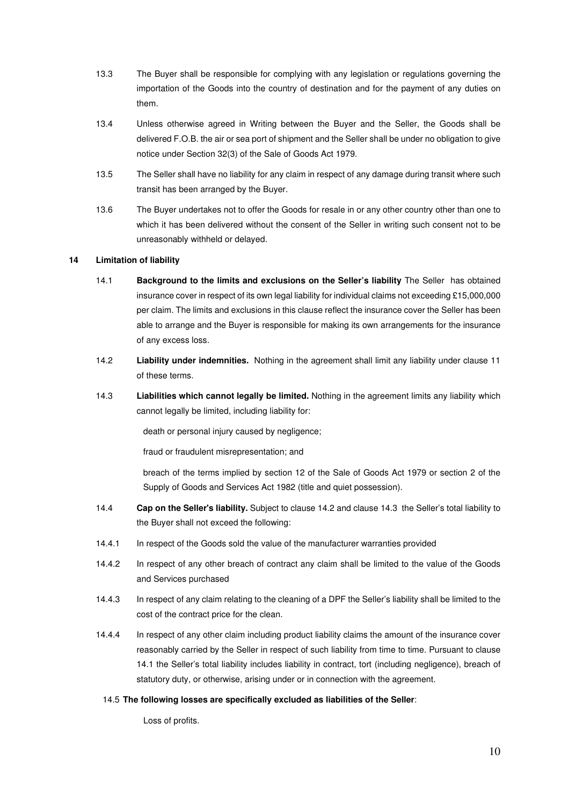- 13.3 The Buyer shall be responsible for complying with any legislation or regulations governing the importation of the Goods into the country of destination and for the payment of any duties on them.
- 13.4 Unless otherwise agreed in Writing between the Buyer and the Seller, the Goods shall be delivered F.O.B. the air or sea port of shipment and the Seller shall be under no obligation to give notice under Section 32(3) of the Sale of Goods Act 1979.
- 13.5 The Seller shall have no liability for any claim in respect of any damage during transit where such transit has been arranged by the Buyer.
- 13.6 The Buyer undertakes not to offer the Goods for resale in or any other country other than one to which it has been delivered without the consent of the Seller in writing such consent not to be unreasonably withheld or delayed.

# **14 Limitation of liability**

- 14.1 **Background to the limits and exclusions on the Seller's liability** The Seller has obtained insurance cover in respect of its own legal liability for individual claims not exceeding £15,000,000 per claim. The limits and exclusions in this clause reflect the insurance cover the Seller has been able to arrange and the Buyer is responsible for making its own arrangements for the insurance of any excess loss.
- 14.2 **Liability under indemnities.** Nothing in the agreement shall limit any liability under clause 11 of these terms.
- 14.3 **Liabilities which cannot legally be limited.** Nothing in the agreement limits any liability which cannot legally be limited, including liability for:

death or personal injury caused by negligence;

fraud or fraudulent misrepresentation; and

 breach of the terms implied by section 12 of the Sale of Goods Act 1979 or section 2 of the Supply of Goods and Services Act 1982 (title and quiet possession).

- 14.4 **Cap on the Seller's liability.** Subject to clause 14.2 and clause 14.3 the Seller's total liability to the Buyer shall not exceed the following:
- 14.4.1 In respect of the Goods sold the value of the manufacturer warranties provided
- 14.4.2 In respect of any other breach of contract any claim shall be limited to the value of the Goods and Services purchased
- 14.4.3 In respect of any claim relating to the cleaning of a DPF the Seller's liability shall be limited to the cost of the contract price for the clean.
- 14.4.4 In respect of any other claim including product liability claims the amount of the insurance cover reasonably carried by the Seller in respect of such liability from time to time. Pursuant to clause 14.1 the Seller's total liability includes liability in contract, tort (including negligence), breach of statutory duty, or otherwise, arising under or in connection with the agreement.

#### 14.5 **The following losses are specifically excluded as liabilities of the Seller**:

Loss of profits.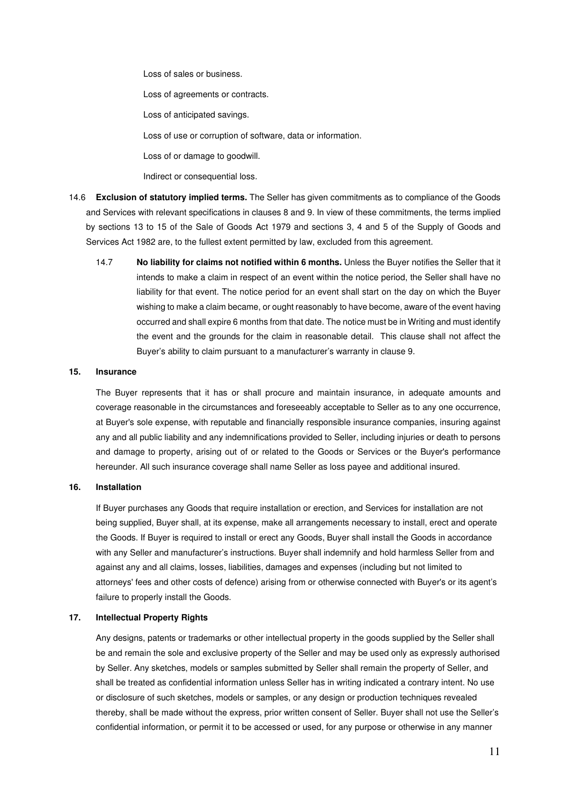Loss of sales or business.

Loss of agreements or contracts.

Loss of anticipated savings.

Loss of use or corruption of software, data or information.

Loss of or damage to goodwill.

Indirect or consequential loss.

- 14.6 **Exclusion of statutory implied terms.** The Seller has given commitments as to compliance of the Goods and Services with relevant specifications in clauses 8 and 9. In view of these commitments, the terms implied by sections 13 to 15 of the Sale of Goods Act 1979 and sections 3, 4 and 5 of the Supply of Goods and Services Act 1982 are, to the fullest extent permitted by law, excluded from this agreement.
	- 14.7 **No liability for claims not notified within 6 months.** Unless the Buyer notifies the Seller that it intends to make a claim in respect of an event within the notice period, the Seller shall have no liability for that event. The notice period for an event shall start on the day on which the Buyer wishing to make a claim became, or ought reasonably to have become, aware of the event having occurred and shall expire 6 months from that date. The notice must be in Writing and must identify the event and the grounds for the claim in reasonable detail. This clause shall not affect the Buyer's ability to claim pursuant to a manufacturer's warranty in clause 9.

#### **15. Insurance**

The Buyer represents that it has or shall procure and maintain insurance, in adequate amounts and coverage reasonable in the circumstances and foreseeably acceptable to Seller as to any one occurrence, at Buyer's sole expense, with reputable and financially responsible insurance companies, insuring against any and all public liability and any indemnifications provided to Seller, including injuries or death to persons and damage to property, arising out of or related to the Goods or Services or the Buyer's performance hereunder. All such insurance coverage shall name Seller as loss payee and additional insured.

## **16. Installation**

 If Buyer purchases any Goods that require installation or erection, and Services for installation are not being supplied, Buyer shall, at its expense, make all arrangements necessary to install, erect and operate the Goods. If Buyer is required to install or erect any Goods, Buyer shall install the Goods in accordance with any Seller and manufacturer's instructions. Buyer shall indemnify and hold harmless Seller from and against any and all claims, losses, liabilities, damages and expenses (including but not limited to attorneys' fees and other costs of defence) arising from or otherwise connected with Buyer's or its agent's failure to properly install the Goods.

#### **17. Intellectual Property Rights**

 Any designs, patents or trademarks or other intellectual property in the goods supplied by the Seller shall be and remain the sole and exclusive property of the Seller and may be used only as expressly authorised by Seller. Any sketches, models or samples submitted by Seller shall remain the property of Seller, and shall be treated as confidential information unless Seller has in writing indicated a contrary intent. No use or disclosure of such sketches, models or samples, or any design or production techniques revealed thereby, shall be made without the express, prior written consent of Seller. Buyer shall not use the Seller's confidential information, or permit it to be accessed or used, for any purpose or otherwise in any manner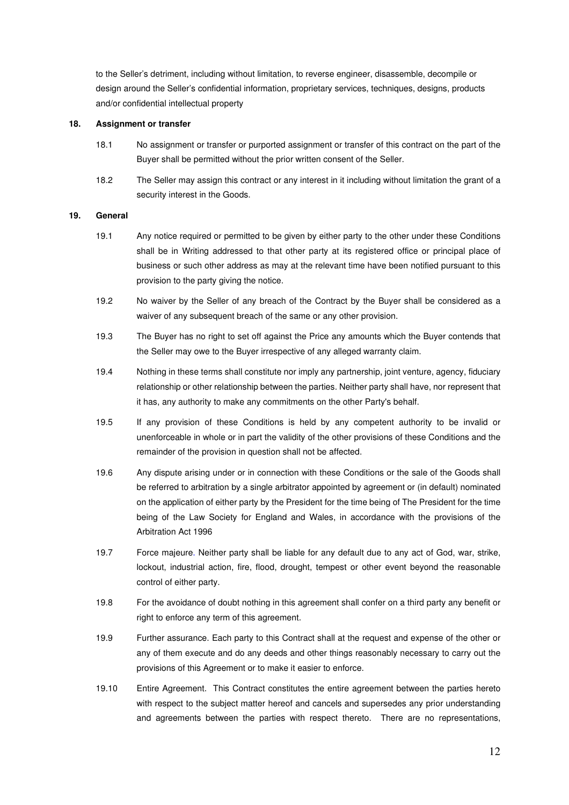to the Seller's detriment, including without limitation, to reverse engineer, disassemble, decompile or design around the Seller's confidential information, proprietary services, techniques, designs, products and/or confidential intellectual property

# **18. Assignment or transfer**

- 18.1 No assignment or transfer or purported assignment or transfer of this contract on the part of the Buyer shall be permitted without the prior written consent of the Seller.
- 18.2 The Seller may assign this contract or any interest in it including without limitation the grant of a security interest in the Goods.

## **19. General**

- 19.1 Any notice required or permitted to be given by either party to the other under these Conditions shall be in Writing addressed to that other party at its registered office or principal place of business or such other address as may at the relevant time have been notified pursuant to this provision to the party giving the notice.
- 19.2 No waiver by the Seller of any breach of the Contract by the Buyer shall be considered as a waiver of any subsequent breach of the same or any other provision.
- 19.3 The Buyer has no right to set off against the Price any amounts which the Buyer contends that the Seller may owe to the Buyer irrespective of any alleged warranty claim.
- 19.4 Nothing in these terms shall constitute nor imply any partnership, joint venture, agency, fiduciary relationship or other relationship between the parties. Neither party shall have, nor represent that it has, any authority to make any commitments on the other Party's behalf.
- 19.5 If any provision of these Conditions is held by any competent authority to be invalid or unenforceable in whole or in part the validity of the other provisions of these Conditions and the remainder of the provision in question shall not be affected.
- 19.6 Any dispute arising under or in connection with these Conditions or the sale of the Goods shall be referred to arbitration by a single arbitrator appointed by agreement or (in default) nominated on the application of either party by the President for the time being of The President for the time being of the Law Society for England and Wales, in accordance with the provisions of the Arbitration Act 1996
- 19.7 Force majeure. Neither party shall be liable for any default due to any act of God, war, strike, lockout, industrial action, fire, flood, drought, tempest or other event beyond the reasonable control of either party.
- 19.8 For the avoidance of doubt nothing in this agreement shall confer on a third party any benefit or right to enforce any term of this agreement.
- 19.9 Further assurance. Each party to this Contract shall at the request and expense of the other or any of them execute and do any deeds and other things reasonably necessary to carry out the provisions of this Agreement or to make it easier to enforce.
- 19.10 Entire Agreement. This Contract constitutes the entire agreement between the parties hereto with respect to the subject matter hereof and cancels and supersedes any prior understanding and agreements between the parties with respect thereto. There are no representations,